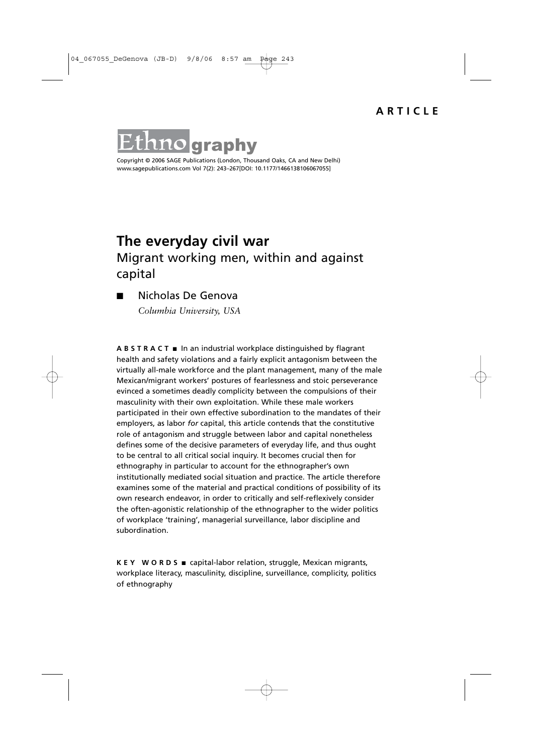

Copyright © 2006 SAGE Publications (London, Thousand Oaks, CA and New Delhi) www.sagepublications.com Vol 7(2): 243–267[DOI: 10.1177/1466138106067055]

# **The everyday civil war** Migrant working men, within and against capital

■ Nicholas De Genova

*Columbia University, USA*

**ABSTRACT** ■ In an industrial workplace distinguished by flagrant health and safety violations and a fairly explicit antagonism between the virtually all-male workforce and the plant management, many of the male Mexican/migrant workers' postures of fearlessness and stoic perseverance evinced a sometimes deadly complicity between the compulsions of their masculinity with their own exploitation. While these male workers participated in their own effective subordination to the mandates of their employers, as labor *for* capital, this article contends that the constitutive role of antagonism and struggle between labor and capital nonetheless defines some of the decisive parameters of everyday life, and thus ought to be central to all critical social inquiry. It becomes crucial then for ethnography in particular to account for the ethnographer's own institutionally mediated social situation and practice. The article therefore examines some of the material and practical conditions of possibility of its own research endeavor, in order to critically and self-reflexively consider the often-agonistic relationship of the ethnographer to the wider politics of workplace 'training', managerial surveillance, labor discipline and subordination.

**KEY WORDS** ■ capital-labor relation, struggle, Mexican migrants, workplace literacy, masculinity, discipline, surveillance, complicity, politics of ethnography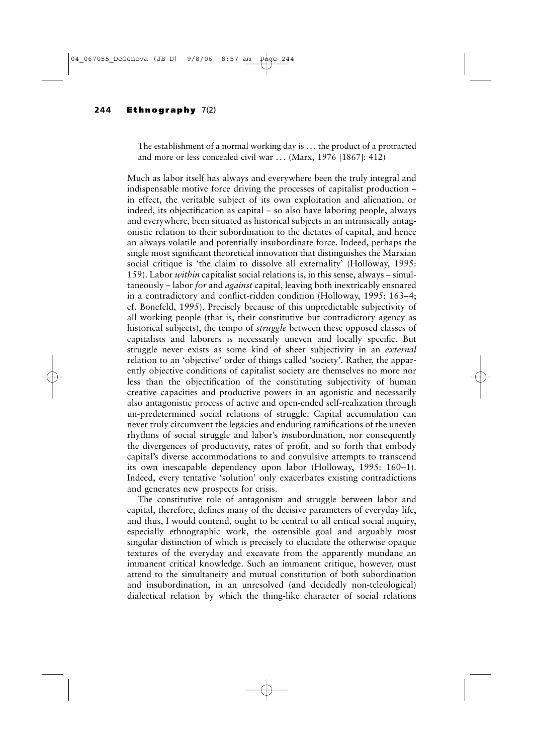The establishment of a normal working day is . . . the product of a protracted and more or less concealed civil war ... (Marx, 1976 [1867]: 412)

Much as labor itself has always and everywhere been the truly integral and indispensable motive force driving the processes of capitalist production – in effect, the veritable subject of its own exploitation and alienation, or indeed, its objectification as capital – so also have laboring people, always and everywhere, been situated as historical subjects in an intrinsically antagonistic relation to their subordination to the dictates of capital, and hence an always volatile and potentially insubordinate force. Indeed, perhaps the single most significant theoretical innovation that distinguishes the Marxian social critique is 'the claim to dissolve all externality' (Holloway, 1995: 159). Labor *within* capitalist social relations is, in this sense, always – simultaneously – labor *for* and *against* capital, leaving both inextricably ensnared in a contradictory and conflict-ridden condition (Holloway, 1995: 163–4; cf. Bonefeld, 1995). Precisely because of this unpredictable subjectivity of all working people (that is, their constitutive but contradictory agency as historical subjects), the tempo of *struggle* between these opposed classes of capitalists and laborers is necessarily uneven and locally specific. But struggle never exists as some kind of sheer subjectivity in an *external* relation to an 'objective' order of things called 'society'. Rather, the apparently objective conditions of capitalist society are themselves no more nor less than the objectification of the constituting subjectivity of human creative capacities and productive powers in an agonistic and necessarily also antagonistic process of active and open-ended self-realization through un-predetermined social relations of struggle. Capital accumulation can never truly circumvent the legacies and enduring ramifications of the uneven rhythms of social struggle and labor's *in*subordination, nor consequently the divergences of productivity, rates of profit, and so forth that embody capital's diverse accommodations to and convulsive attempts to transcend its own inescapable dependency upon labor (Holloway, 1995: 160–1). Indeed, every tentative 'solution' only exacerbates existing contradictions and generates new prospects for crisis.

The constitutive role of antagonism and struggle between labor and capital, therefore, defines many of the decisive parameters of everyday life, and thus, I would contend, ought to be central to all critical social inquiry, especially ethnographic work, the ostensible goal and arguably most singular distinction of which is precisely to elucidate the otherwise opaque textures of the everyday and excavate from the apparently mundane an immanent critical knowledge. Such an immanent critique, however, must attend to the simultaneity and mutual constitution of both subordination and insubordination, in an unresolved (and decidedly non-teleological) dialectical relation by which the thing-like character of social relations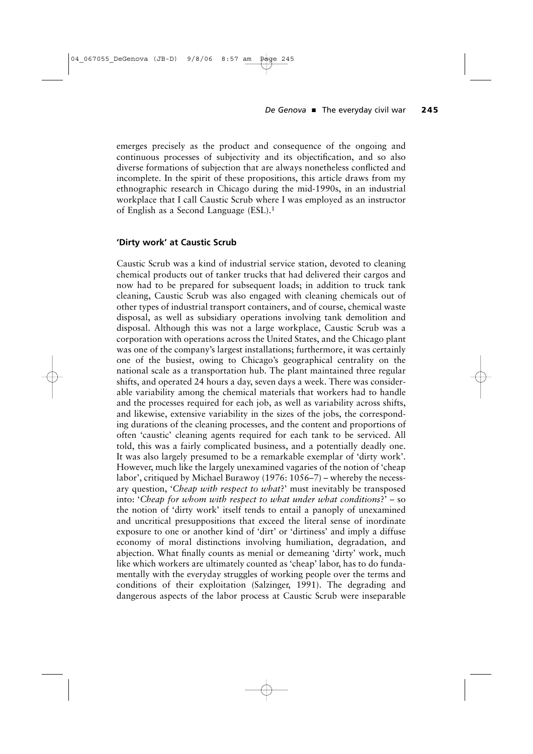emerges precisely as the product and consequence of the ongoing and continuous processes of subjectivity and its objectification, and so also diverse formations of subjection that are always nonetheless conflicted and incomplete. In the spirit of these propositions, this article draws from my ethnographic research in Chicago during the mid-1990s, in an industrial workplace that I call Caustic Scrub where I was employed as an instructor of English as a Second Language (ESL).1

#### **'Dirty work' at Caustic Scrub**

Caustic Scrub was a kind of industrial service station, devoted to cleaning chemical products out of tanker trucks that had delivered their cargos and now had to be prepared for subsequent loads; in addition to truck tank cleaning, Caustic Scrub was also engaged with cleaning chemicals out of other types of industrial transport containers, and of course, chemical waste disposal, as well as subsidiary operations involving tank demolition and disposal. Although this was not a large workplace, Caustic Scrub was a corporation with operations across the United States, and the Chicago plant was one of the company's largest installations; furthermore, it was certainly one of the busiest, owing to Chicago's geographical centrality on the national scale as a transportation hub. The plant maintained three regular shifts, and operated 24 hours a day, seven days a week. There was considerable variability among the chemical materials that workers had to handle and the processes required for each job, as well as variability across shifts, and likewise, extensive variability in the sizes of the jobs, the corresponding durations of the cleaning processes, and the content and proportions of often 'caustic' cleaning agents required for each tank to be serviced. All told, this was a fairly complicated business, and a potentially deadly one. It was also largely presumed to be a remarkable exemplar of 'dirty work'. However, much like the largely unexamined vagaries of the notion of 'cheap labor', critiqued by Michael Burawoy (1976: 1056–7) – whereby the necessary question, '*Cheap with respect to what*?' must inevitably be transposed into: '*Cheap for whom with respect to what under what conditions*?' – so the notion of 'dirty work' itself tends to entail a panoply of unexamined and uncritical presuppositions that exceed the literal sense of inordinate exposure to one or another kind of 'dirt' or 'dirtiness' and imply a diffuse economy of moral distinctions involving humiliation, degradation, and abjection. What finally counts as menial or demeaning 'dirty' work, much like which workers are ultimately counted as 'cheap' labor, has to do fundamentally with the everyday struggles of working people over the terms and conditions of their exploitation (Salzinger, 1991). The degrading and dangerous aspects of the labor process at Caustic Scrub were inseparable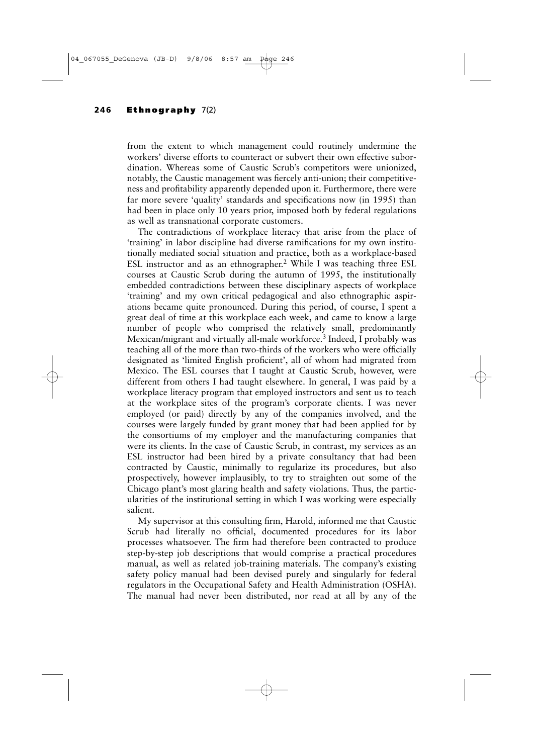from the extent to which management could routinely undermine the workers' diverse efforts to counteract or subvert their own effective subordination. Whereas some of Caustic Scrub's competitors were unionized, notably, the Caustic management was fiercely anti-union; their competitiveness and profitability apparently depended upon it. Furthermore, there were far more severe 'quality' standards and specifications now (in 1995) than had been in place only 10 years prior, imposed both by federal regulations as well as transnational corporate customers.

The contradictions of workplace literacy that arise from the place of 'training' in labor discipline had diverse ramifications for my own institutionally mediated social situation and practice, both as a workplace-based ESL instructor and as an ethnographer.<sup>2</sup> While I was teaching three ESL courses at Caustic Scrub during the autumn of 1995, the institutionally embedded contradictions between these disciplinary aspects of workplace 'training' and my own critical pedagogical and also ethnographic aspirations became quite pronounced. During this period, of course, I spent a great deal of time at this workplace each week, and came to know a large number of people who comprised the relatively small, predominantly Mexican/migrant and virtually all-male workforce.<sup>3</sup> Indeed, I probably was teaching all of the more than two-thirds of the workers who were officially designated as 'limited English proficient', all of whom had migrated from Mexico. The ESL courses that I taught at Caustic Scrub, however, were different from others I had taught elsewhere. In general, I was paid by a workplace literacy program that employed instructors and sent us to teach at the workplace sites of the program's corporate clients. I was never employed (or paid) directly by any of the companies involved, and the courses were largely funded by grant money that had been applied for by the consortiums of my employer and the manufacturing companies that were its clients. In the case of Caustic Scrub, in contrast, my services as an ESL instructor had been hired by a private consultancy that had been contracted by Caustic, minimally to regularize its procedures, but also prospectively, however implausibly, to try to straighten out some of the Chicago plant's most glaring health and safety violations. Thus, the particularities of the institutional setting in which I was working were especially salient.

My supervisor at this consulting firm, Harold, informed me that Caustic Scrub had literally no official, documented procedures for its labor processes whatsoever. The firm had therefore been contracted to produce step-by-step job descriptions that would comprise a practical procedures manual, as well as related job-training materials. The company's existing safety policy manual had been devised purely and singularly for federal regulators in the Occupational Safety and Health Administration (OSHA). The manual had never been distributed, nor read at all by any of the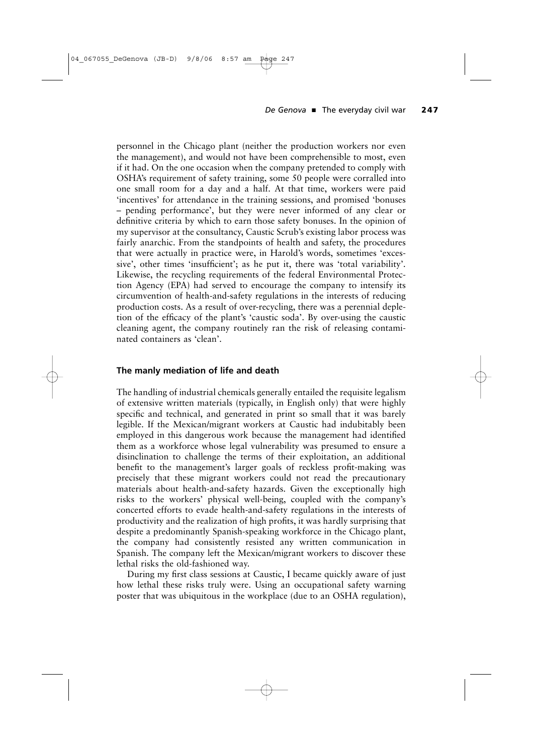personnel in the Chicago plant (neither the production workers nor even the management), and would not have been comprehensible to most, even if it had. On the one occasion when the company pretended to comply with OSHA's requirement of safety training, some 50 people were corralled into one small room for a day and a half. At that time, workers were paid 'incentives' for attendance in the training sessions, and promised 'bonuses – pending performance', but they were never informed of any clear or definitive criteria by which to earn those safety bonuses. In the opinion of my supervisor at the consultancy, Caustic Scrub's existing labor process was fairly anarchic. From the standpoints of health and safety, the procedures that were actually in practice were, in Harold's words, sometimes 'excessive', other times 'insufficient'; as he put it, there was 'total variability'. Likewise, the recycling requirements of the federal Environmental Protection Agency (EPA) had served to encourage the company to intensify its circumvention of health-and-safety regulations in the interests of reducing production costs. As a result of over-recycling, there was a perennial depletion of the efficacy of the plant's 'caustic soda'. By over-using the caustic cleaning agent, the company routinely ran the risk of releasing contaminated containers as 'clean'.

#### **The manly mediation of life and death**

The handling of industrial chemicals generally entailed the requisite legalism of extensive written materials (typically, in English only) that were highly specific and technical, and generated in print so small that it was barely legible. If the Mexican/migrant workers at Caustic had indubitably been employed in this dangerous work because the management had identified them as a workforce whose legal vulnerability was presumed to ensure a disinclination to challenge the terms of their exploitation, an additional benefit to the management's larger goals of reckless profit-making was precisely that these migrant workers could not read the precautionary materials about health-and-safety hazards. Given the exceptionally high risks to the workers' physical well-being, coupled with the company's concerted efforts to evade health-and-safety regulations in the interests of productivity and the realization of high profits, it was hardly surprising that despite a predominantly Spanish-speaking workforce in the Chicago plant, the company had consistently resisted any written communication in Spanish. The company left the Mexican/migrant workers to discover these lethal risks the old-fashioned way.

During my first class sessions at Caustic, I became quickly aware of just how lethal these risks truly were. Using an occupational safety warning poster that was ubiquitous in the workplace (due to an OSHA regulation),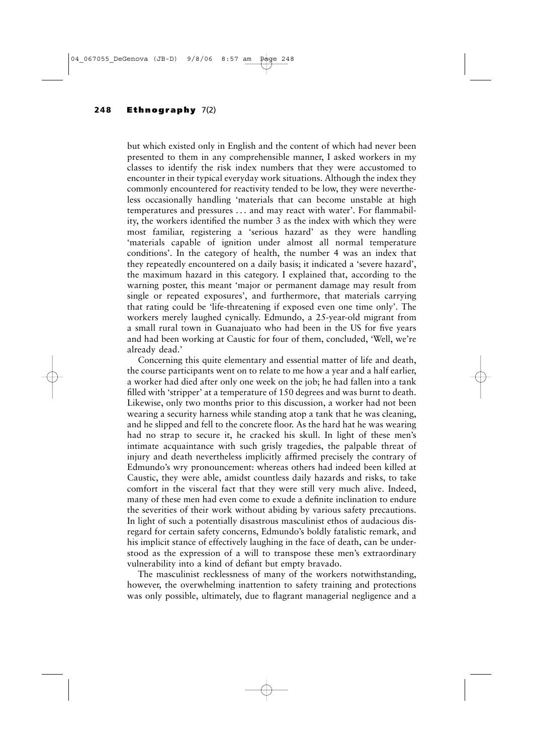but which existed only in English and the content of which had never been presented to them in any comprehensible manner, I asked workers in my classes to identify the risk index numbers that they were accustomed to encounter in their typical everyday work situations. Although the index they commonly encountered for reactivity tended to be low, they were nevertheless occasionally handling 'materials that can become unstable at high temperatures and pressures ... and may react with water'. For flammability, the workers identified the number 3 as the index with which they were most familiar, registering a 'serious hazard' as they were handling 'materials capable of ignition under almost all normal temperature conditions'. In the category of health, the number 4 was an index that they repeatedly encountered on a daily basis; it indicated a 'severe hazard', the maximum hazard in this category. I explained that, according to the warning poster, this meant 'major or permanent damage may result from single or repeated exposures', and furthermore, that materials carrying that rating could be 'life-threatening if exposed even one time only'. The workers merely laughed cynically. Edmundo, a 25-year-old migrant from a small rural town in Guanajuato who had been in the US for five years and had been working at Caustic for four of them, concluded, 'Well, we're already dead.'

Concerning this quite elementary and essential matter of life and death, the course participants went on to relate to me how a year and a half earlier, a worker had died after only one week on the job; he had fallen into a tank filled with 'stripper' at a temperature of 150 degrees and was burnt to death. Likewise, only two months prior to this discussion, a worker had not been wearing a security harness while standing atop a tank that he was cleaning, and he slipped and fell to the concrete floor. As the hard hat he was wearing had no strap to secure it, he cracked his skull. In light of these men's intimate acquaintance with such grisly tragedies, the palpable threat of injury and death nevertheless implicitly affirmed precisely the contrary of Edmundo's wry pronouncement: whereas others had indeed been killed at Caustic, they were able, amidst countless daily hazards and risks, to take comfort in the visceral fact that they were still very much alive. Indeed, many of these men had even come to exude a definite inclination to endure the severities of their work without abiding by various safety precautions. In light of such a potentially disastrous masculinist ethos of audacious disregard for certain safety concerns, Edmundo's boldly fatalistic remark, and his implicit stance of effectively laughing in the face of death, can be understood as the expression of a will to transpose these men's extraordinary vulnerability into a kind of defiant but empty bravado.

The masculinist recklessness of many of the workers notwithstanding, however, the overwhelming inattention to safety training and protections was only possible, ultimately, due to flagrant managerial negligence and a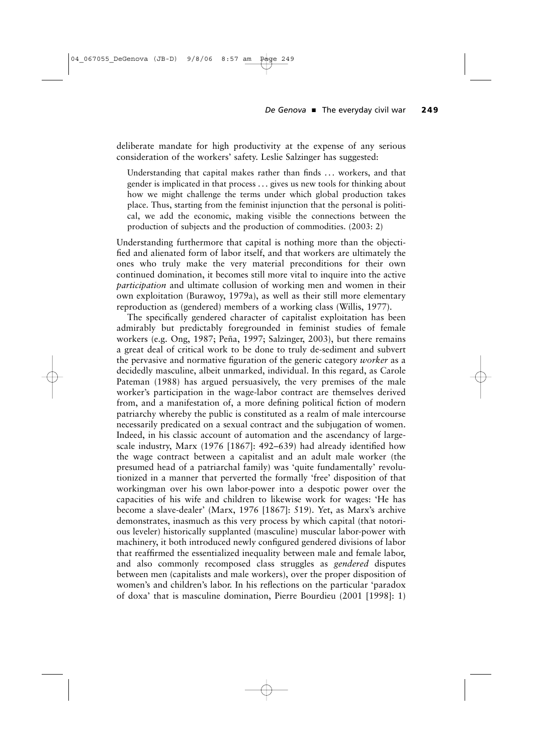deliberate mandate for high productivity at the expense of any serious consideration of the workers' safety. Leslie Salzinger has suggested:

Understanding that capital makes rather than finds ... workers, and that gender is implicated in that process . . . gives us new tools for thinking about how we might challenge the terms under which global production takes place. Thus, starting from the feminist injunction that the personal is political, we add the economic, making visible the connections between the production of subjects and the production of commodities. (2003: 2)

Understanding furthermore that capital is nothing more than the objectified and alienated form of labor itself, and that workers are ultimately the ones who truly make the very material preconditions for their own continued domination, it becomes still more vital to inquire into the active *participation* and ultimate collusion of working men and women in their own exploitation (Burawoy, 1979a), as well as their still more elementary reproduction as (gendered) members of a working class (Willis, 1977).

The specifically gendered character of capitalist exploitation has been admirably but predictably foregrounded in feminist studies of female workers (e.g. Ong, 1987; Peña, 1997; Salzinger, 2003), but there remains a great deal of critical work to be done to truly de-sediment and subvert the pervasive and normative figuration of the generic category *worker* as a decidedly masculine, albeit unmarked, individual. In this regard, as Carole Pateman (1988) has argued persuasively, the very premises of the male worker's participation in the wage-labor contract are themselves derived from, and a manifestation of, a more defining political fiction of modern patriarchy whereby the public is constituted as a realm of male intercourse necessarily predicated on a sexual contract and the subjugation of women. Indeed, in his classic account of automation and the ascendancy of largescale industry, Marx (1976 [1867]: 492–639) had already identified how the wage contract between a capitalist and an adult male worker (the presumed head of a patriarchal family) was 'quite fundamentally' revolutionized in a manner that perverted the formally 'free' disposition of that workingman over his own labor-power into a despotic power over the capacities of his wife and children to likewise work for wages: 'He has become a slave-dealer' (Marx, 1976 [1867]: 519). Yet, as Marx's archive demonstrates, inasmuch as this very process by which capital (that notorious leveler) historically supplanted (masculine) muscular labor-power with machinery, it both introduced newly configured gendered divisions of labor that reaffirmed the essentialized inequality between male and female labor, and also commonly recomposed class struggles as *gendered* disputes between men (capitalists and male workers), over the proper disposition of women's and children's labor. In his reflections on the particular 'paradox of doxa' that is masculine domination, Pierre Bourdieu (2001 [1998]: 1)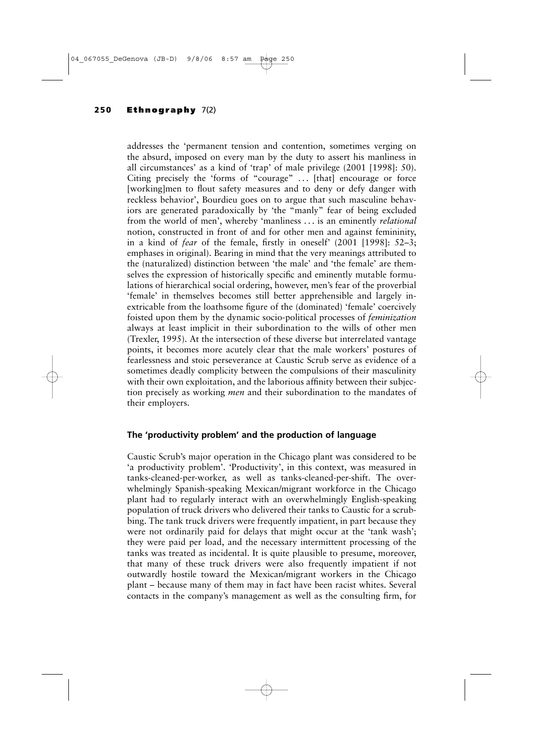addresses the 'permanent tension and contention, sometimes verging on the absurd, imposed on every man by the duty to assert his manliness in all circumstances' as a kind of 'trap' of male privilege (2001 [1998]: 50). Citing precisely the 'forms of "courage" ... [that] encourage or force [working]men to flout safety measures and to deny or defy danger with reckless behavior', Bourdieu goes on to argue that such masculine behaviors are generated paradoxically by 'the "manly" fear of being excluded from the world of men', whereby 'manliness . . . is an eminently *relational* notion, constructed in front of and for other men and against femininity, in a kind of *fear* of the female, firstly in oneself' (2001 [1998]: 52–3; emphases in original). Bearing in mind that the very meanings attributed to the (naturalized) distinction between 'the male' and 'the female' are themselves the expression of historically specific and eminently mutable formulations of hierarchical social ordering, however, men's fear of the proverbial 'female' in themselves becomes still better apprehensible and largely inextricable from the loathsome figure of the (dominated) 'female' coercively foisted upon them by the dynamic socio-political processes of *feminization* always at least implicit in their subordination to the wills of other men (Trexler, 1995). At the intersection of these diverse but interrelated vantage points, it becomes more acutely clear that the male workers' postures of fearlessness and stoic perseverance at Caustic Scrub serve as evidence of a sometimes deadly complicity between the compulsions of their masculinity with their own exploitation, and the laborious affinity between their subjection precisely as working *men* and their subordination to the mandates of their employers.

## **The 'productivity problem' and the production of language**

Caustic Scrub's major operation in the Chicago plant was considered to be 'a productivity problem'. 'Productivity', in this context, was measured in tanks-cleaned-per-worker, as well as tanks-cleaned-per-shift. The overwhelmingly Spanish-speaking Mexican/migrant workforce in the Chicago plant had to regularly interact with an overwhelmingly English-speaking population of truck drivers who delivered their tanks to Caustic for a scrubbing. The tank truck drivers were frequently impatient, in part because they were not ordinarily paid for delays that might occur at the 'tank wash'; they were paid per load, and the necessary intermittent processing of the tanks was treated as incidental. It is quite plausible to presume, moreover, that many of these truck drivers were also frequently impatient if not outwardly hostile toward the Mexican/migrant workers in the Chicago plant – because many of them may in fact have been racist whites. Several contacts in the company's management as well as the consulting firm, for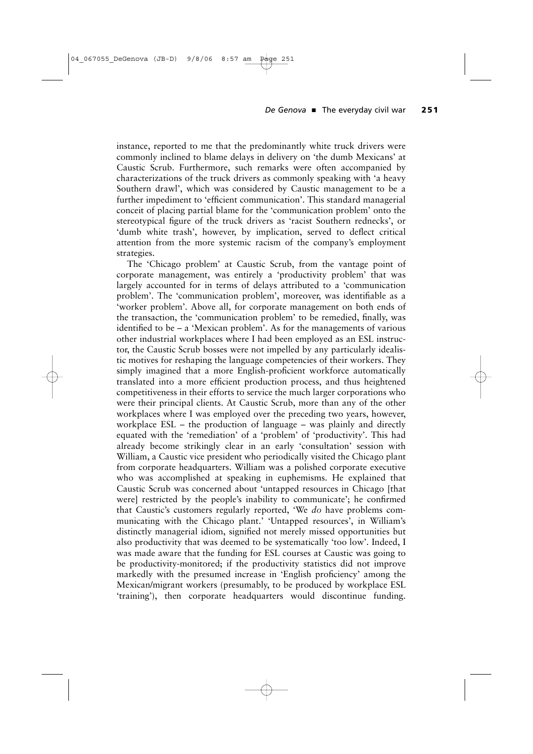instance, reported to me that the predominantly white truck drivers were commonly inclined to blame delays in delivery on 'the dumb Mexicans' at Caustic Scrub. Furthermore, such remarks were often accompanied by characterizations of the truck drivers as commonly speaking with 'a heavy Southern drawl', which was considered by Caustic management to be a further impediment to 'efficient communication'. This standard managerial conceit of placing partial blame for the 'communication problem' onto the stereotypical figure of the truck drivers as 'racist Southern rednecks', or 'dumb white trash', however, by implication, served to deflect critical attention from the more systemic racism of the company's employment strategies.

The 'Chicago problem' at Caustic Scrub, from the vantage point of corporate management, was entirely a 'productivity problem' that was largely accounted for in terms of delays attributed to a 'communication problem'. The 'communication problem', moreover, was identifiable as a 'worker problem'. Above all, for corporate management on both ends of the transaction, the 'communication problem' to be remedied, finally, was identified to be – a 'Mexican problem'. As for the managements of various other industrial workplaces where I had been employed as an ESL instructor, the Caustic Scrub bosses were not impelled by any particularly idealistic motives for reshaping the language competencies of their workers. They simply imagined that a more English-proficient workforce automatically translated into a more efficient production process, and thus heightened competitiveness in their efforts to service the much larger corporations who were their principal clients. At Caustic Scrub, more than any of the other workplaces where I was employed over the preceding two years, however, workplace ESL – the production of language – was plainly and directly equated with the 'remediation' of a 'problem' of 'productivity'. This had already become strikingly clear in an early 'consultation' session with William, a Caustic vice president who periodically visited the Chicago plant from corporate headquarters. William was a polished corporate executive who was accomplished at speaking in euphemisms. He explained that Caustic Scrub was concerned about 'untapped resources in Chicago [that were] restricted by the people's inability to communicate'; he confirmed that Caustic's customers regularly reported, 'We *do* have problems communicating with the Chicago plant.' 'Untapped resources', in William's distinctly managerial idiom, signified not merely missed opportunities but also productivity that was deemed to be systematically 'too low'. Indeed, I was made aware that the funding for ESL courses at Caustic was going to be productivity-monitored; if the productivity statistics did not improve markedly with the presumed increase in 'English proficiency' among the Mexican/migrant workers (presumably, to be produced by workplace ESL 'training'), then corporate headquarters would discontinue funding.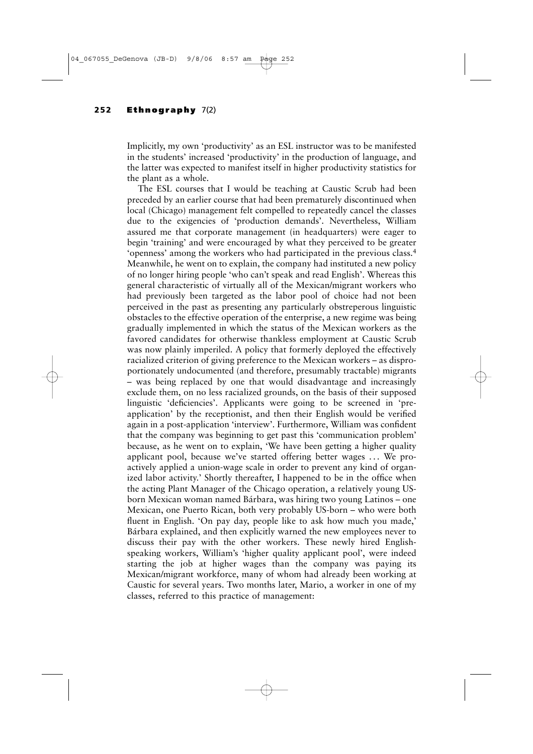Implicitly, my own 'productivity' as an ESL instructor was to be manifested in the students' increased 'productivity' in the production of language, and the latter was expected to manifest itself in higher productivity statistics for the plant as a whole.

The ESL courses that I would be teaching at Caustic Scrub had been preceded by an earlier course that had been prematurely discontinued when local (Chicago) management felt compelled to repeatedly cancel the classes due to the exigencies of 'production demands'. Nevertheless, William assured me that corporate management (in headquarters) were eager to begin 'training' and were encouraged by what they perceived to be greater 'openness' among the workers who had participated in the previous class.4 Meanwhile, he went on to explain, the company had instituted a new policy of no longer hiring people 'who can't speak and read English'. Whereas this general characteristic of virtually all of the Mexican/migrant workers who had previously been targeted as the labor pool of choice had not been perceived in the past as presenting any particularly obstreperous linguistic obstacles to the effective operation of the enterprise, a new regime was being gradually implemented in which the status of the Mexican workers as the favored candidates for otherwise thankless employment at Caustic Scrub was now plainly imperiled. A policy that formerly deployed the effectively racialized criterion of giving preference to the Mexican workers – as disproportionately undocumented (and therefore, presumably tractable) migrants – was being replaced by one that would disadvantage and increasingly exclude them, on no less racialized grounds, on the basis of their supposed linguistic 'deficiencies'. Applicants were going to be screened in 'preapplication' by the receptionist, and then their English would be verified again in a post-application 'interview'. Furthermore, William was confident that the company was beginning to get past this 'communication problem' because, as he went on to explain, 'We have been getting a higher quality applicant pool, because we've started offering better wages . . . We proactively applied a union-wage scale in order to prevent any kind of organized labor activity.' Shortly thereafter, I happened to be in the office when the acting Plant Manager of the Chicago operation, a relatively young USborn Mexican woman named Bárbara, was hiring two young Latinos – one Mexican, one Puerto Rican, both very probably US-born – who were both fluent in English. 'On pay day, people like to ask how much you made,' Bárbara explained, and then explicitly warned the new employees never to discuss their pay with the other workers. These newly hired Englishspeaking workers, William's 'higher quality applicant pool', were indeed starting the job at higher wages than the company was paying its Mexican/migrant workforce, many of whom had already been working at Caustic for several years. Two months later, Mario, a worker in one of my classes, referred to this practice of management: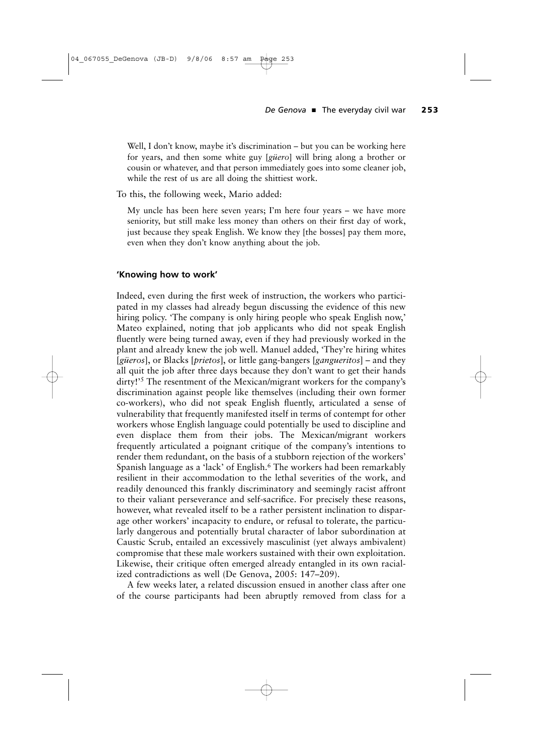Well, I don't know, maybe it's discrimination – but you can be working here for years, and then some white guy [*güero*] will bring along a brother or cousin or whatever, and that person immediately goes into some cleaner job, while the rest of us are all doing the shittiest work.

To this, the following week, Mario added:

My uncle has been here seven years; I'm here four years – we have more seniority, but still make less money than others on their first day of work, just because they speak English. We know they [the bosses] pay them more, even when they don't know anything about the job.

#### **'Knowing how to work'**

Indeed, even during the first week of instruction, the workers who participated in my classes had already begun discussing the evidence of this new hiring policy. 'The company is only hiring people who speak English now,' Mateo explained, noting that job applicants who did not speak English fluently were being turned away, even if they had previously worked in the plant and already knew the job well. Manuel added, 'They're hiring whites [*güeros*], or Blacks [*prietos*], or little gang-bangers [*gangueritos*] – and they all quit the job after three days because they don't want to get their hands dirty!<sup>'5</sup> The resentment of the Mexican/migrant workers for the company's discrimination against people like themselves (including their own former co-workers), who did not speak English fluently, articulated a sense of vulnerability that frequently manifested itself in terms of contempt for other workers whose English language could potentially be used to discipline and even displace them from their jobs. The Mexican/migrant workers frequently articulated a poignant critique of the company's intentions to render them redundant, on the basis of a stubborn rejection of the workers' Spanish language as a 'lack' of English.<sup>6</sup> The workers had been remarkably resilient in their accommodation to the lethal severities of the work, and readily denounced this frankly discriminatory and seemingly racist affront to their valiant perseverance and self-sacrifice. For precisely these reasons, however, what revealed itself to be a rather persistent inclination to disparage other workers' incapacity to endure, or refusal to tolerate, the particularly dangerous and potentially brutal character of labor subordination at Caustic Scrub, entailed an excessively masculinist (yet always ambivalent) compromise that these male workers sustained with their own exploitation. Likewise, their critique often emerged already entangled in its own racialized contradictions as well (De Genova, 2005: 147–209).

A few weeks later, a related discussion ensued in another class after one of the course participants had been abruptly removed from class for a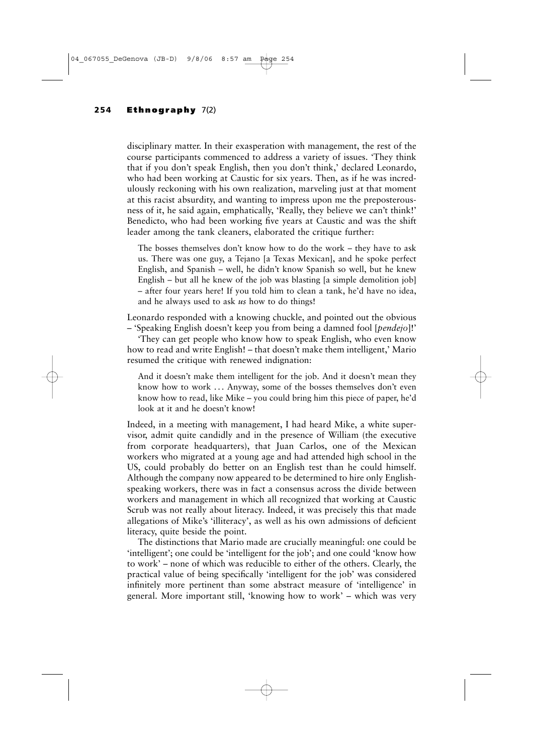disciplinary matter. In their exasperation with management, the rest of the course participants commenced to address a variety of issues. 'They think that if you don't speak English, then you don't think,' declared Leonardo, who had been working at Caustic for six years. Then, as if he was incredulously reckoning with his own realization, marveling just at that moment at this racist absurdity, and wanting to impress upon me the preposterousness of it, he said again, emphatically, 'Really, they believe we can't think!' Benedicto, who had been working five years at Caustic and was the shift leader among the tank cleaners, elaborated the critique further:

The bosses themselves don't know how to do the work – they have to ask us. There was one guy, a Tejano [a Texas Mexican], and he spoke perfect English, and Spanish – well, he didn't know Spanish so well, but he knew English – but all he knew of the job was blasting [a simple demolition job] – after four years here! If you told him to clean a tank, he'd have no idea, and he always used to ask *us* how to do things!

Leonardo responded with a knowing chuckle, and pointed out the obvious – 'Speaking English doesn't keep you from being a damned fool [*pendejo*]!'

'They can get people who know how to speak English, who even know how to read and write English! – that doesn't make them intelligent,' Mario resumed the critique with renewed indignation:

And it doesn't make them intelligent for the job. And it doesn't mean they know how to work ... Anyway, some of the bosses themselves don't even know how to read, like Mike – you could bring him this piece of paper, he'd look at it and he doesn't know!

Indeed, in a meeting with management, I had heard Mike, a white supervisor, admit quite candidly and in the presence of William (the executive from corporate headquarters), that Juan Carlos, one of the Mexican workers who migrated at a young age and had attended high school in the US, could probably do better on an English test than he could himself. Although the company now appeared to be determined to hire only Englishspeaking workers, there was in fact a consensus across the divide between workers and management in which all recognized that working at Caustic Scrub was not really about literacy. Indeed, it was precisely this that made allegations of Mike's 'illiteracy', as well as his own admissions of deficient literacy, quite beside the point.

The distinctions that Mario made are crucially meaningful: one could be 'intelligent'; one could be 'intelligent for the job'; and one could 'know how to work' – none of which was reducible to either of the others. Clearly, the practical value of being specifically 'intelligent for the job' was considered infinitely more pertinent than some abstract measure of 'intelligence' in general. More important still, 'knowing how to work' – which was very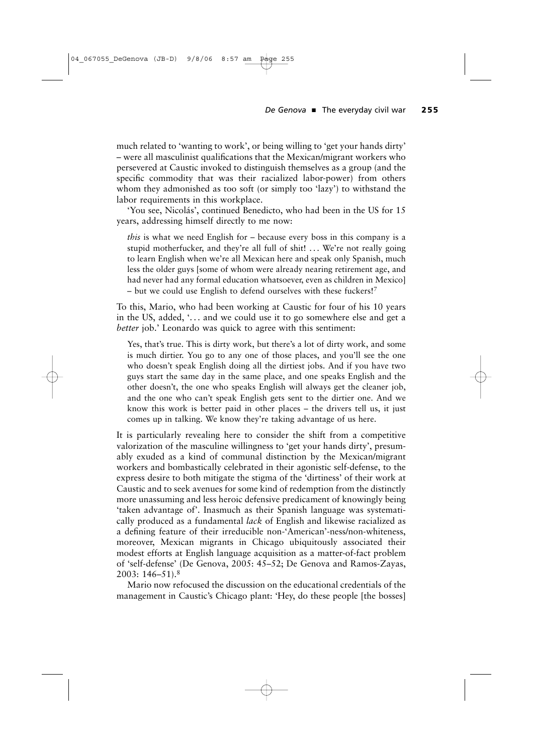much related to 'wanting to work', or being willing to 'get your hands dirty' – were all masculinist qualifications that the Mexican/migrant workers who persevered at Caustic invoked to distinguish themselves as a group (and the specific commodity that was their racialized labor-power) from others whom they admonished as too soft (or simply too 'lazy') to withstand the labor requirements in this workplace.

'You see, Nicolás', continued Benedicto, who had been in the US for 15 years, addressing himself directly to me now:

*this* is what we need English for – because every boss in this company is a stupid motherfucker, and they're all full of shit! ... We're not really going to learn English when we're all Mexican here and speak only Spanish, much less the older guys [some of whom were already nearing retirement age, and had never had any formal education whatsoever, even as children in Mexico] – but we could use English to defend ourselves with these fuckers!7

To this, Mario, who had been working at Caustic for four of his 10 years in the US, added, '. . . and we could use it to go somewhere else and get a *better* job.' Leonardo was quick to agree with this sentiment:

Yes, that's true. This is dirty work, but there's a lot of dirty work, and some is much dirtier. You go to any one of those places, and you'll see the one who doesn't speak English doing all the dirtiest jobs. And if you have two guys start the same day in the same place, and one speaks English and the other doesn't, the one who speaks English will always get the cleaner job, and the one who can't speak English gets sent to the dirtier one. And we know this work is better paid in other places – the drivers tell us, it just comes up in talking. We know they're taking advantage of us here.

It is particularly revealing here to consider the shift from a competitive valorization of the masculine willingness to 'get your hands dirty', presumably exuded as a kind of communal distinction by the Mexican/migrant workers and bombastically celebrated in their agonistic self-defense, to the express desire to both mitigate the stigma of the 'dirtiness' of their work at Caustic and to seek avenues for some kind of redemption from the distinctly more unassuming and less heroic defensive predicament of knowingly being 'taken advantage of'. Inasmuch as their Spanish language was systematically produced as a fundamental *lack* of English and likewise racialized as a defining feature of their irreducible non-'American'-ness/non-whiteness, moreover, Mexican migrants in Chicago ubiquitously associated their modest efforts at English language acquisition as a matter-of-fact problem of 'self-defense' (De Genova, 2005: 45–52; De Genova and Ramos-Zayas, 2003: 146–51).8

Mario now refocused the discussion on the educational credentials of the management in Caustic's Chicago plant: 'Hey, do these people [the bosses]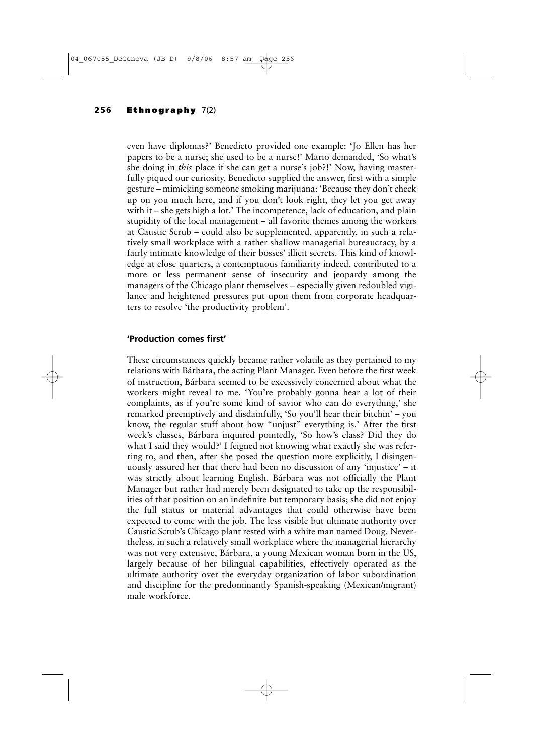even have diplomas?' Benedicto provided one example: 'Jo Ellen has her papers to be a nurse; she used to be a nurse!' Mario demanded, 'So what's she doing in *this* place if she can get a nurse's job?!' Now, having masterfully piqued our curiosity, Benedicto supplied the answer, first with a simple gesture – mimicking someone smoking marijuana: 'Because they don't check up on you much here, and if you don't look right, they let you get away with it – she gets high a lot.' The incompetence, lack of education, and plain stupidity of the local management – all favorite themes among the workers at Caustic Scrub – could also be supplemented, apparently, in such a relatively small workplace with a rather shallow managerial bureaucracy, by a fairly intimate knowledge of their bosses' illicit secrets. This kind of knowledge at close quarters, a contemptuous familiarity indeed, contributed to a more or less permanent sense of insecurity and jeopardy among the managers of the Chicago plant themselves – especially given redoubled vigilance and heightened pressures put upon them from corporate headquarters to resolve 'the productivity problem'.

### **'Production comes first'**

These circumstances quickly became rather volatile as they pertained to my relations with Bárbara, the acting Plant Manager. Even before the first week of instruction, Bárbara seemed to be excessively concerned about what the workers might reveal to me. 'You're probably gonna hear a lot of their complaints, as if you're some kind of savior who can do everything,' she remarked preemptively and disdainfully, 'So you'll hear their bitchin' – you know, the regular stuff about how "unjust" everything is.' After the first week's classes, Bárbara inquired pointedly, 'So how's class? Did they do what I said they would?' I feigned not knowing what exactly she was referring to, and then, after she posed the question more explicitly, I disingenuously assured her that there had been no discussion of any 'injustice' – it was strictly about learning English. Bárbara was not officially the Plant Manager but rather had merely been designated to take up the responsibilities of that position on an indefinite but temporary basis; she did not enjoy the full status or material advantages that could otherwise have been expected to come with the job. The less visible but ultimate authority over Caustic Scrub's Chicago plant rested with a white man named Doug. Nevertheless, in such a relatively small workplace where the managerial hierarchy was not very extensive, Bárbara, a young Mexican woman born in the US, largely because of her bilingual capabilities, effectively operated as the ultimate authority over the everyday organization of labor subordination and discipline for the predominantly Spanish-speaking (Mexican/migrant) male workforce.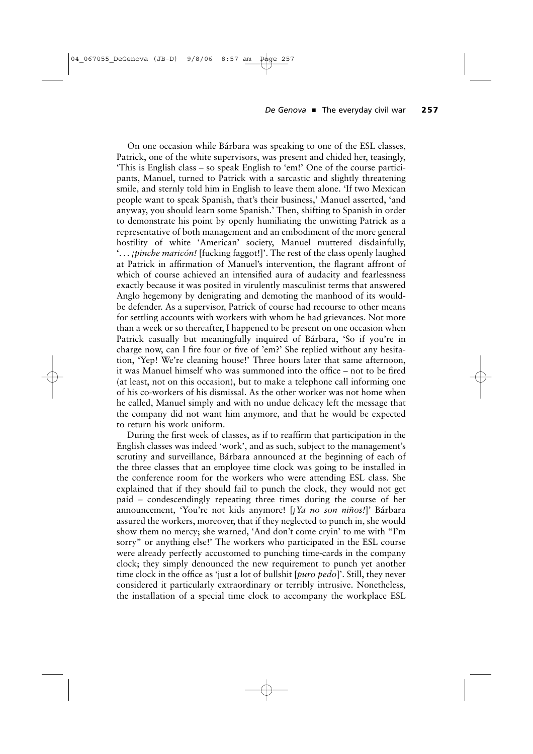On one occasion while Bárbara was speaking to one of the ESL classes, Patrick, one of the white supervisors, was present and chided her, teasingly, 'This is English class – so speak English to 'em!' One of the course participants, Manuel, turned to Patrick with a sarcastic and slightly threatening smile, and sternly told him in English to leave them alone. 'If two Mexican people want to speak Spanish, that's their business,' Manuel asserted, 'and anyway, you should learn some Spanish.' Then, shifting to Spanish in order to demonstrate his point by openly humiliating the unwitting Patrick as a representative of both management and an embodiment of the more general hostility of white 'American' society, Manuel muttered disdainfully, '. . . *¡pinche maricón!* [fucking faggot!]'. The rest of the class openly laughed at Patrick in affirmation of Manuel's intervention, the flagrant affront of which of course achieved an intensified aura of audacity and fearlessness exactly because it was posited in virulently masculinist terms that answered Anglo hegemony by denigrating and demoting the manhood of its wouldbe defender. As a supervisor, Patrick of course had recourse to other means for settling accounts with workers with whom he had grievances. Not more than a week or so thereafter, I happened to be present on one occasion when Patrick casually but meaningfully inquired of Bárbara, 'So if you're in charge now, can I fire four or five of 'em?' She replied without any hesitation, 'Yep! We're cleaning house!' Three hours later that same afternoon, it was Manuel himself who was summoned into the office – not to be fired (at least, not on this occasion), but to make a telephone call informing one of his co-workers of his dismissal. As the other worker was not home when he called, Manuel simply and with no undue delicacy left the message that the company did not want him anymore, and that he would be expected to return his work uniform.

During the first week of classes, as if to reaffirm that participation in the English classes was indeed 'work', and as such, subject to the management's scrutiny and surveillance, Bárbara announced at the beginning of each of the three classes that an employee time clock was going to be installed in the conference room for the workers who were attending ESL class. She explained that if they should fail to punch the clock, they would not get paid – condescendingly repeating three times during the course of her announcement, 'You're not kids anymore! [*¡Ya no son niños!*]' Bárbara assured the workers, moreover, that if they neglected to punch in, she would show them no mercy; she warned, 'And don't come cryin' to me with "I'm sorry" or anything else!' The workers who participated in the ESL course were already perfectly accustomed to punching time-cards in the company clock; they simply denounced the new requirement to punch yet another time clock in the office as 'just a lot of bullshit [*puro pedo*]'. Still, they never considered it particularly extraordinary or terribly intrusive. Nonetheless, the installation of a special time clock to accompany the workplace ESL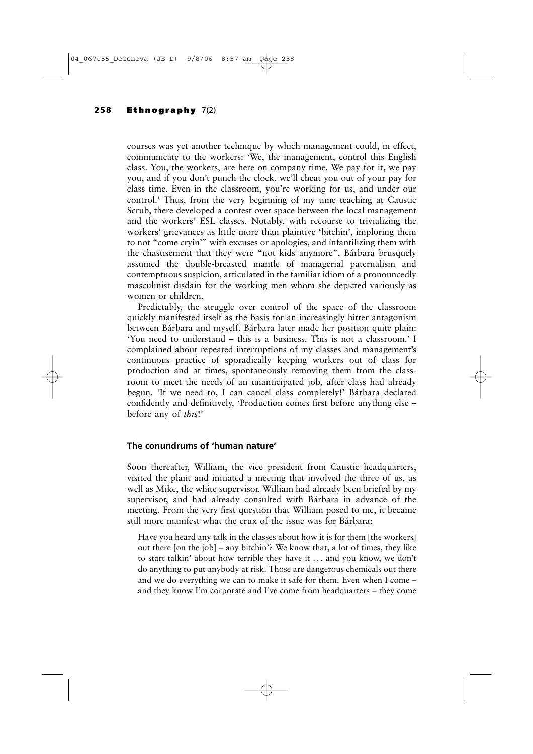courses was yet another technique by which management could, in effect, communicate to the workers: 'We, the management, control this English class. You, the workers, are here on company time. We pay for it, we pay you, and if you don't punch the clock, we'll cheat you out of your pay for class time. Even in the classroom, you're working for us, and under our control.' Thus, from the very beginning of my time teaching at Caustic Scrub, there developed a contest over space between the local management and the workers' ESL classes. Notably, with recourse to trivializing the workers' grievances as little more than plaintive 'bitchin', imploring them to not "come cryin'" with excuses or apologies, and infantilizing them with the chastisement that they were "not kids anymore", Bárbara brusquely assumed the double-breasted mantle of managerial paternalism and contemptuous suspicion, articulated in the familiar idiom of a pronouncedly masculinist disdain for the working men whom she depicted variously as women or children.

Predictably, the struggle over control of the space of the classroom quickly manifested itself as the basis for an increasingly bitter antagonism between Bárbara and myself. Bárbara later made her position quite plain: 'You need to understand – this is a business. This is not a classroom.' I complained about repeated interruptions of my classes and management's continuous practice of sporadically keeping workers out of class for production and at times, spontaneously removing them from the classroom to meet the needs of an unanticipated job, after class had already begun. 'If we need to, I can cancel class completely!' Bárbara declared confidently and definitively, 'Production comes first before anything else – before any of *this*!'

#### **The conundrums of 'human nature'**

Soon thereafter, William, the vice president from Caustic headquarters, visited the plant and initiated a meeting that involved the three of us, as well as Mike, the white supervisor. William had already been briefed by my supervisor, and had already consulted with Bárbara in advance of the meeting. From the very first question that William posed to me, it became still more manifest what the crux of the issue was for Bárbara:

Have you heard any talk in the classes about how it is for them [the workers] out there [on the job] – any bitchin'? We know that, a lot of times, they like to start talkin' about how terrible they have it ... and you know, we don't do anything to put anybody at risk. Those are dangerous chemicals out there and we do everything we can to make it safe for them. Even when I come – and they know I'm corporate and I've come from headquarters – they come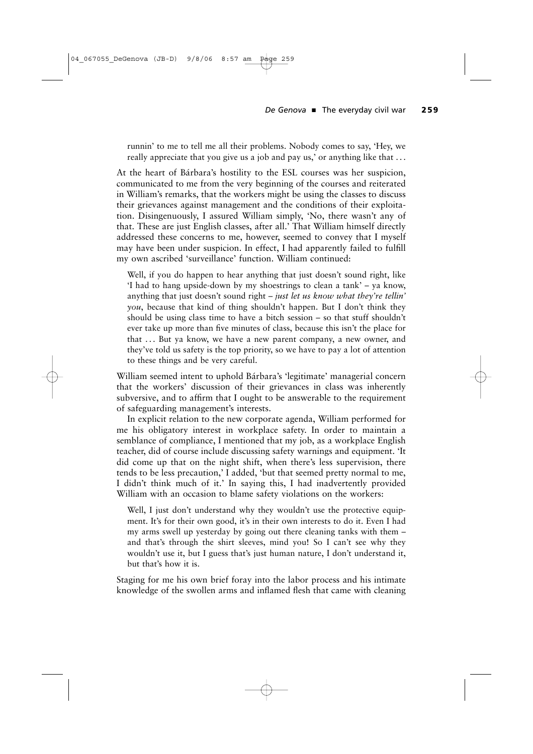runnin' to me to tell me all their problems. Nobody comes to say, 'Hey, we really appreciate that you give us a job and pay us,' or anything like that ...

At the heart of Bárbara's hostility to the ESL courses was her suspicion, communicated to me from the very beginning of the courses and reiterated in William's remarks, that the workers might be using the classes to discuss their grievances against management and the conditions of their exploitation. Disingenuously, I assured William simply, 'No, there wasn't any of that. These are just English classes, after all.' That William himself directly addressed these concerns to me, however, seemed to convey that I myself may have been under suspicion. In effect, I had apparently failed to fulfill my own ascribed 'surveillance' function. William continued:

Well, if you do happen to hear anything that just doesn't sound right, like 'I had to hang upside-down by my shoestrings to clean a tank' – ya know, anything that just doesn't sound right – *just let us know what they're tellin' you*, because that kind of thing shouldn't happen. But I don't think they should be using class time to have a bitch session – so that stuff shouldn't ever take up more than five minutes of class, because this isn't the place for that ... But ya know, we have a new parent company, a new owner, and they've told us safety is the top priority, so we have to pay a lot of attention to these things and be very careful.

William seemed intent to uphold Bárbara's 'legitimate' managerial concern that the workers' discussion of their grievances in class was inherently subversive, and to affirm that I ought to be answerable to the requirement of safeguarding management's interests.

In explicit relation to the new corporate agenda, William performed for me his obligatory interest in workplace safety. In order to maintain a semblance of compliance, I mentioned that my job, as a workplace English teacher, did of course include discussing safety warnings and equipment. 'It did come up that on the night shift, when there's less supervision, there tends to be less precaution,' I added, 'but that seemed pretty normal to me, I didn't think much of it.' In saying this, I had inadvertently provided William with an occasion to blame safety violations on the workers:

Well, I just don't understand why they wouldn't use the protective equipment. It's for their own good, it's in their own interests to do it. Even I had my arms swell up yesterday by going out there cleaning tanks with them – and that's through the shirt sleeves, mind you! So I can't see why they wouldn't use it, but I guess that's just human nature, I don't understand it, but that's how it is.

Staging for me his own brief foray into the labor process and his intimate knowledge of the swollen arms and inflamed flesh that came with cleaning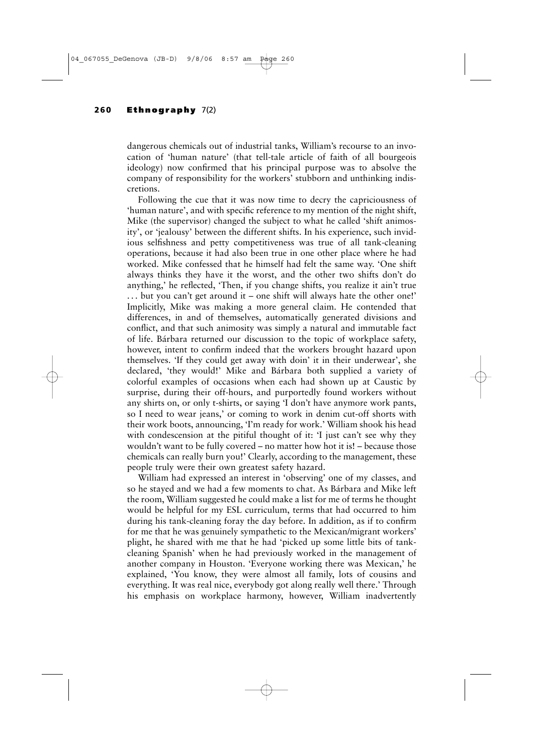dangerous chemicals out of industrial tanks, William's recourse to an invocation of 'human nature' (that tell-tale article of faith of all bourgeois ideology) now confirmed that his principal purpose was to absolve the company of responsibility for the workers' stubborn and unthinking indiscretions.

Following the cue that it was now time to decry the capriciousness of 'human nature', and with specific reference to my mention of the night shift, Mike (the supervisor) changed the subject to what he called 'shift animosity', or 'jealousy' between the different shifts. In his experience, such invidious selfishness and petty competitiveness was true of all tank-cleaning operations, because it had also been true in one other place where he had worked. Mike confessed that he himself had felt the same way. 'One shift always thinks they have it the worst, and the other two shifts don't do anything,' he reflected, 'Then, if you change shifts, you realize it ain't true ... but you can't get around it – one shift will always hate the other one!' Implicitly, Mike was making a more general claim. He contended that differences, in and of themselves, automatically generated divisions and conflict, and that such animosity was simply a natural and immutable fact of life. Bárbara returned our discussion to the topic of workplace safety, however, intent to confirm indeed that the workers brought hazard upon themselves. 'If they could get away with doin' it in their underwear', she declared, 'they would!' Mike and Bárbara both supplied a variety of colorful examples of occasions when each had shown up at Caustic by surprise, during their off-hours, and purportedly found workers without any shirts on, or only t-shirts, or saying 'I don't have anymore work pants, so I need to wear jeans,' or coming to work in denim cut-off shorts with their work boots, announcing, 'I'm ready for work.' William shook his head with condescension at the pitiful thought of it: 'I just can't see why they wouldn't want to be fully covered – no matter how hot it is! – because those chemicals can really burn you!' Clearly, according to the management, these people truly were their own greatest safety hazard.

William had expressed an interest in 'observing' one of my classes, and so he stayed and we had a few moments to chat. As Bárbara and Mike left the room, William suggested he could make a list for me of terms he thought would be helpful for my ESL curriculum, terms that had occurred to him during his tank-cleaning foray the day before. In addition, as if to confirm for me that he was genuinely sympathetic to the Mexican/migrant workers' plight, he shared with me that he had 'picked up some little bits of tankcleaning Spanish' when he had previously worked in the management of another company in Houston. 'Everyone working there was Mexican,' he explained, 'You know, they were almost all family, lots of cousins and everything. It was real nice, everybody got along really well there.' Through his emphasis on workplace harmony, however, William inadvertently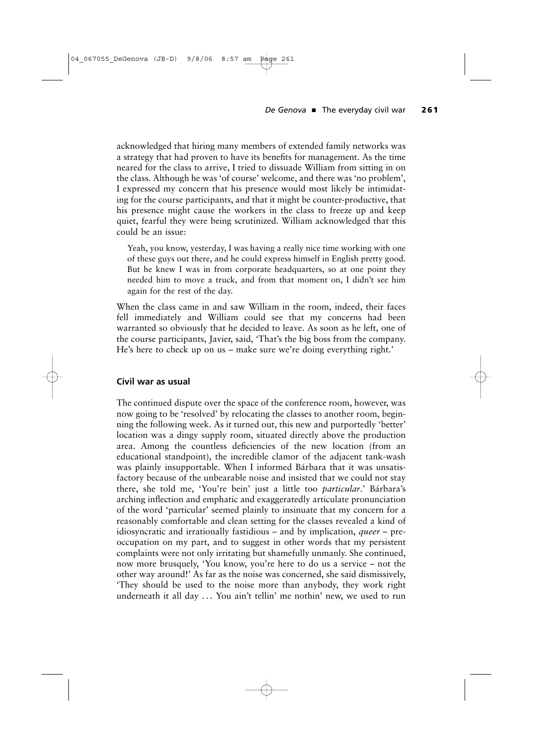acknowledged that hiring many members of extended family networks was a strategy that had proven to have its benefits for management. As the time neared for the class to arrive, I tried to dissuade William from sitting in on the class. Although he was 'of course' welcome, and there was 'no problem', I expressed my concern that his presence would most likely be intimidating for the course participants, and that it might be counter-productive, that his presence might cause the workers in the class to freeze up and keep quiet, fearful they were being scrutinized. William acknowledged that this could be an issue:

Yeah, you know, yesterday, I was having a really nice time working with one of these guys out there, and he could express himself in English pretty good. But he knew I was in from corporate headquarters, so at one point they needed him to move a truck, and from that moment on, I didn't see him again for the rest of the day.

When the class came in and saw William in the room, indeed, their faces fell immediately and William could see that my concerns had been warranted so obviously that he decided to leave. As soon as he left, one of the course participants, Javier, said, 'That's the big boss from the company. He's here to check up on us – make sure we're doing everything right.'

#### **Civil war as usual**

The continued dispute over the space of the conference room, however, was now going to be 'resolved' by relocating the classes to another room, beginning the following week. As it turned out, this new and purportedly 'better' location was a dingy supply room, situated directly above the production area. Among the countless deficiencies of the new location (from an educational standpoint), the incredible clamor of the adjacent tank-wash was plainly insupportable. When I informed Bárbara that it was unsatisfactory because of the unbearable noise and insisted that we could not stay there, she told me, 'You're bein' just a little too *particular*.' Bárbara's arching inflection and emphatic and exaggeratedly articulate pronunciation of the word 'particular' seemed plainly to insinuate that my concern for a reasonably comfortable and clean setting for the classes revealed a kind of idiosyncratic and irrationally fastidious – and by implication, *queer* – preoccupation on my part, and to suggest in other words that my persistent complaints were not only irritating but shamefully unmanly. She continued, now more brusquely, 'You know, you're here to do us a service – not the other way around!' As far as the noise was concerned, she said dismissively, 'They should be used to the noise more than anybody, they work right underneath it all day . . . You ain't tellin' me nothin' new, we used to run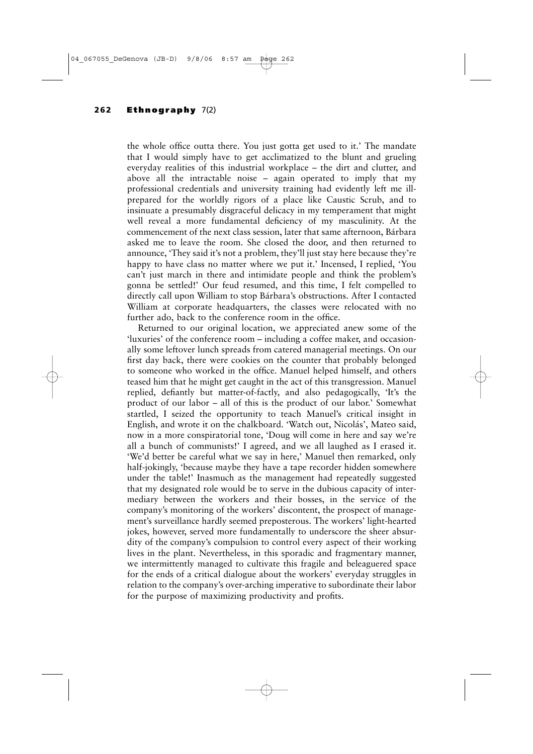the whole office outta there. You just gotta get used to it.' The mandate that I would simply have to get acclimatized to the blunt and grueling everyday realities of this industrial workplace – the dirt and clutter, and above all the intractable noise – again operated to imply that my professional credentials and university training had evidently left me illprepared for the worldly rigors of a place like Caustic Scrub, and to insinuate a presumably disgraceful delicacy in my temperament that might well reveal a more fundamental deficiency of my masculinity. At the commencement of the next class session, later that same afternoon, Bárbara asked me to leave the room. She closed the door, and then returned to announce, 'They said it's not a problem, they'll just stay here because they're happy to have class no matter where we put it.' Incensed, I replied, 'You can't just march in there and intimidate people and think the problem's gonna be settled!' Our feud resumed, and this time, I felt compelled to directly call upon William to stop Bárbara's obstructions. After I contacted William at corporate headquarters, the classes were relocated with no further ado, back to the conference room in the office.

Returned to our original location, we appreciated anew some of the 'luxuries' of the conference room – including a coffee maker, and occasionally some leftover lunch spreads from catered managerial meetings. On our first day back, there were cookies on the counter that probably belonged to someone who worked in the office. Manuel helped himself, and others teased him that he might get caught in the act of this transgression. Manuel replied, defiantly but matter-of-factly, and also pedagogically, 'It's the product of our labor – all of this is the product of our labor.' Somewhat startled, I seized the opportunity to teach Manuel's critical insight in English, and wrote it on the chalkboard. 'Watch out, Nicolás', Mateo said, now in a more conspiratorial tone, 'Doug will come in here and say we're all a bunch of communists!' I agreed, and we all laughed as I erased it. 'We'd better be careful what we say in here,' Manuel then remarked, only half-jokingly, 'because maybe they have a tape recorder hidden somewhere under the table!' Inasmuch as the management had repeatedly suggested that my designated role would be to serve in the dubious capacity of intermediary between the workers and their bosses, in the service of the company's monitoring of the workers' discontent, the prospect of management's surveillance hardly seemed preposterous. The workers' light-hearted jokes, however, served more fundamentally to underscore the sheer absurdity of the company's compulsion to control every aspect of their working lives in the plant. Nevertheless, in this sporadic and fragmentary manner, we intermittently managed to cultivate this fragile and beleaguered space for the ends of a critical dialogue about the workers' everyday struggles in relation to the company's over-arching imperative to subordinate their labor for the purpose of maximizing productivity and profits.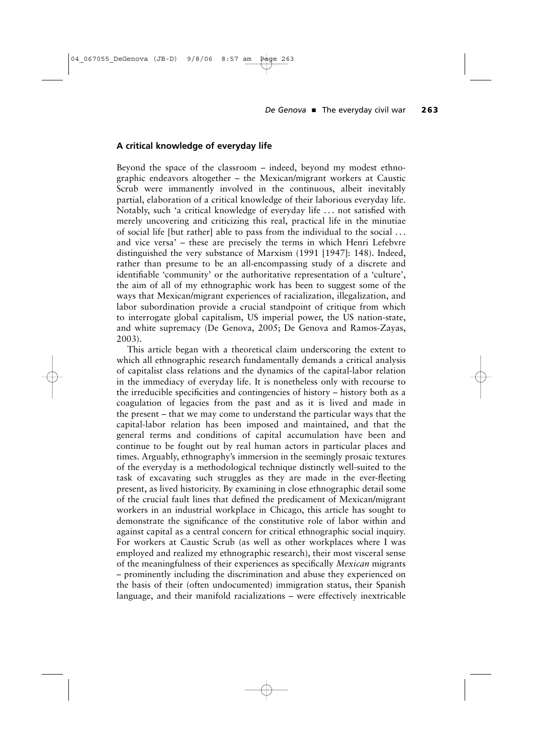#### **A critical knowledge of everyday life**

Beyond the space of the classroom – indeed, beyond my modest ethnographic endeavors altogether – the Mexican/migrant workers at Caustic Scrub were immanently involved in the continuous, albeit inevitably partial, elaboration of a critical knowledge of their laborious everyday life. Notably, such 'a critical knowledge of everyday life . . . not satisfied with merely uncovering and criticizing this real, practical life in the minutiae of social life [but rather] able to pass from the individual to the social . . . and vice versa' – these are precisely the terms in which Henri Lefebvre distinguished the very substance of Marxism (1991 [1947]: 148). Indeed, rather than presume to be an all-encompassing study of a discrete and identifiable 'community' or the authoritative representation of a 'culture', the aim of all of my ethnographic work has been to suggest some of the ways that Mexican/migrant experiences of racialization, illegalization, and labor subordination provide a crucial standpoint of critique from which to interrogate global capitalism, US imperial power, the US nation-state, and white supremacy (De Genova, 2005; De Genova and Ramos-Zayas, 2003).

This article began with a theoretical claim underscoring the extent to which all ethnographic research fundamentally demands a critical analysis of capitalist class relations and the dynamics of the capital-labor relation in the immediacy of everyday life. It is nonetheless only with recourse to the irreducible specificities and contingencies of history – history both as a coagulation of legacies from the past and as it is lived and made in the present – that we may come to understand the particular ways that the capital-labor relation has been imposed and maintained, and that the general terms and conditions of capital accumulation have been and continue to be fought out by real human actors in particular places and times. Arguably, ethnography's immersion in the seemingly prosaic textures of the everyday is a methodological technique distinctly well-suited to the task of excavating such struggles as they are made in the ever-fleeting present, as lived historicity. By examining in close ethnographic detail some of the crucial fault lines that defined the predicament of Mexican/migrant workers in an industrial workplace in Chicago, this article has sought to demonstrate the significance of the constitutive role of labor within and against capital as a central concern for critical ethnographic social inquiry. For workers at Caustic Scrub (as well as other workplaces where I was employed and realized my ethnographic research), their most visceral sense of the meaningfulness of their experiences as specifically *Mexican* migrants – prominently including the discrimination and abuse they experienced on the basis of their (often undocumented) immigration status, their Spanish language, and their manifold racializations – were effectively inextricable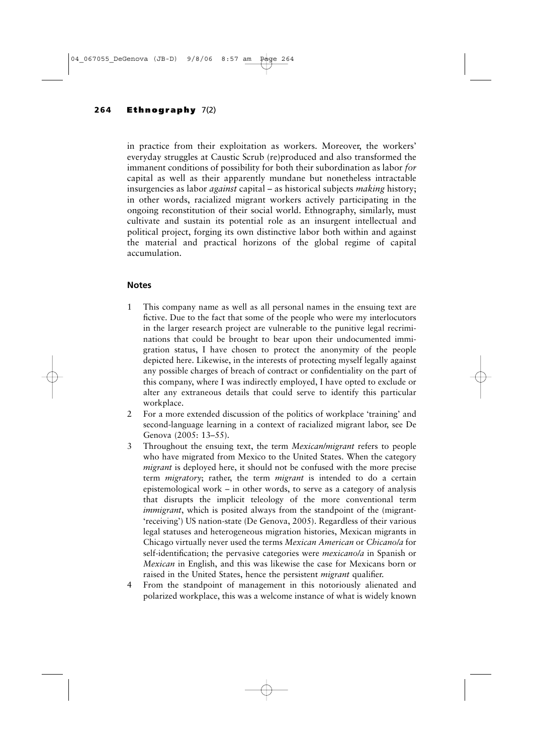in practice from their exploitation as workers. Moreover, the workers' everyday struggles at Caustic Scrub (re)produced and also transformed the immanent conditions of possibility for both their subordination as labor *for* capital as well as their apparently mundane but nonetheless intractable insurgencies as labor *against* capital – as historical subjects *making* history; in other words, racialized migrant workers actively participating in the ongoing reconstitution of their social world. Ethnography, similarly, must cultivate and sustain its potential role as an insurgent intellectual and political project, forging its own distinctive labor both within and against the material and practical horizons of the global regime of capital accumulation.

## **Notes**

- 1 This company name as well as all personal names in the ensuing text are fictive. Due to the fact that some of the people who were my interlocutors in the larger research project are vulnerable to the punitive legal recriminations that could be brought to bear upon their undocumented immigration status, I have chosen to protect the anonymity of the people depicted here. Likewise, in the interests of protecting myself legally against any possible charges of breach of contract or confidentiality on the part of this company, where I was indirectly employed, I have opted to exclude or alter any extraneous details that could serve to identify this particular workplace.
- 2 For a more extended discussion of the politics of workplace 'training' and second-language learning in a context of racialized migrant labor, see De Genova (2005: 13–55).
- 3 Throughout the ensuing text, the term *Mexican/migrant* refers to people who have migrated from Mexico to the United States. When the category *migrant* is deployed here, it should not be confused with the more precise term *migratory*; rather, the term *migrant* is intended to do a certain epistemological work – in other words, to serve as a category of analysis that disrupts the implicit teleology of the more conventional term *immigrant*, which is posited always from the standpoint of the (migrant-'receiving') US nation-state (De Genova, 2005). Regardless of their various legal statuses and heterogeneous migration histories, Mexican migrants in Chicago virtually never used the terms *Mexican American* or *Chicano/a* for self-identification; the pervasive categories were *mexicano/a* in Spanish or *Mexican* in English, and this was likewise the case for Mexicans born or raised in the United States, hence the persistent *migrant* qualifier.
- 4 From the standpoint of management in this notoriously alienated and polarized workplace, this was a welcome instance of what is widely known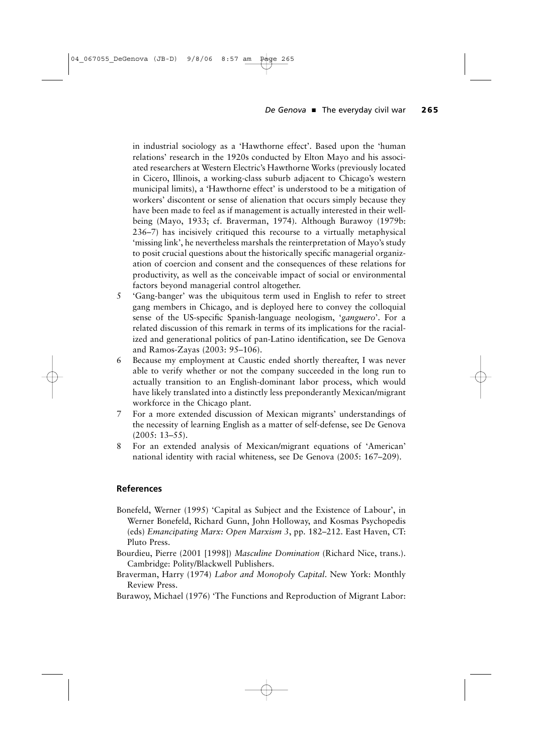in industrial sociology as a 'Hawthorne effect'. Based upon the 'human relations' research in the 1920s conducted by Elton Mayo and his associated researchers at Western Electric's Hawthorne Works (previously located in Cicero, Illinois, a working-class suburb adjacent to Chicago's western municipal limits), a 'Hawthorne effect' is understood to be a mitigation of workers' discontent or sense of alienation that occurs simply because they have been made to feel as if management is actually interested in their wellbeing (Mayo, 1933; cf. Braverman, 1974). Although Burawoy (1979b: 236–7) has incisively critiqued this recourse to a virtually metaphysical 'missing link', he nevertheless marshals the reinterpretation of Mayo's study to posit crucial questions about the historically specific managerial organization of coercion and consent and the consequences of these relations for productivity, as well as the conceivable impact of social or environmental factors beyond managerial control altogether.

- 5 'Gang-banger' was the ubiquitous term used in English to refer to street gang members in Chicago, and is deployed here to convey the colloquial sense of the US-specific Spanish-language neologism, '*ganguero*'. For a related discussion of this remark in terms of its implications for the racialized and generational politics of pan-Latino identification, see De Genova and Ramos-Zayas (2003: 95–106).
- 6 Because my employment at Caustic ended shortly thereafter, I was never able to verify whether or not the company succeeded in the long run to actually transition to an English-dominant labor process, which would have likely translated into a distinctly less preponderantly Mexican/migrant workforce in the Chicago plant.
- 7 For a more extended discussion of Mexican migrants' understandings of the necessity of learning English as a matter of self-defense, see De Genova (2005: 13–55).
- 8 For an extended analysis of Mexican/migrant equations of 'American' national identity with racial whiteness, see De Genova (2005: 167–209).

## **References**

- Bonefeld, Werner (1995) 'Capital as Subject and the Existence of Labour', in Werner Bonefeld, Richard Gunn, John Holloway, and Kosmas Psychopedis (eds) *Emancipating Marx: Open Marxism 3*, pp. 182–212. East Haven, CT: Pluto Press.
- Bourdieu, Pierre (2001 [1998]) *Masculine Domination* (Richard Nice, trans.). Cambridge: Polity/Blackwell Publishers.
- Braverman, Harry (1974) *Labor and Monopoly Capital*. New York: Monthly Review Press.
- Burawoy, Michael (1976) 'The Functions and Reproduction of Migrant Labor: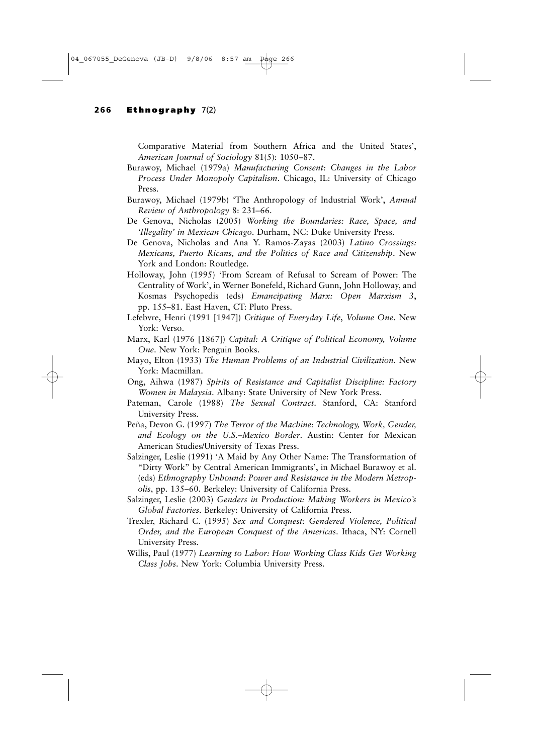Comparative Material from Southern Africa and the United States', *American Journal of Sociology* 81(5): 1050–87.

- Burawoy, Michael (1979a) *Manufacturing Consent: Changes in the Labor Process Under Monopoly Capitalism*. Chicago, IL: University of Chicago Press.
- Burawoy, Michael (1979b) 'The Anthropology of Industrial Work', *Annual Review of Anthropology* 8: 231–66.
- De Genova, Nicholas (2005) *Working the Boundaries: Race, Space, and 'Illegality' in Mexican Chicago*. Durham, NC: Duke University Press.
- De Genova, Nicholas and Ana Y. Ramos-Zayas (2003) *Latino Crossings: Mexicans, Puerto Ricans, and the Politics of Race and Citizenship*. New York and London: Routledge.
- Holloway, John (1995) 'From Scream of Refusal to Scream of Power: The Centrality of Work', in Werner Bonefeld, Richard Gunn, John Holloway, and Kosmas Psychopedis (eds) *Emancipating Marx: Open Marxism 3*, pp. 155–81. East Haven, CT: Pluto Press.
- Lefebvre, Henri (1991 [1947]) *Critique of Everyday Life*, *Volume One*. New York: Verso.
- Marx, Karl (1976 [1867]) *Capital: A Critique of Political Economy, Volume One*. New York: Penguin Books.
- Mayo, Elton (1933) *The Human Problems of an Industrial Civilization*. New York: Macmillan.
- Ong, Aihwa (1987) *Spirits of Resistance and Capitalist Discipline: Factory Women in Malaysia*. Albany: State University of New York Press.
- Pateman, Carole (1988) *The Sexual Contract*. Stanford, CA: Stanford University Press.
- Peña, Devon G. (1997) *The Terror of the Machine: Technology, Work, Gender, and Ecology on the U.S.–Mexico Border*. Austin: Center for Mexican American Studies/University of Texas Press.
- Salzinger, Leslie (1991) 'A Maid by Any Other Name: The Transformation of "Dirty Work" by Central American Immigrants', in Michael Burawoy et al. (eds) *Ethnography Unbound: Power and Resistance in the Modern Metropolis*, pp. 135–60. Berkeley: University of California Press.
- Salzinger, Leslie (2003) *Genders in Production: Making Workers in Mexico's Global Factories*. Berkeley: University of California Press.
- Trexler, Richard C. (1995) *Sex and Conquest: Gendered Violence, Political Order, and the European Conquest of the Americas*. Ithaca, NY: Cornell University Press.
- Willis, Paul (1977) *Learning to Labor: How Working Class Kids Get Working Class Jobs*. New York: Columbia University Press.